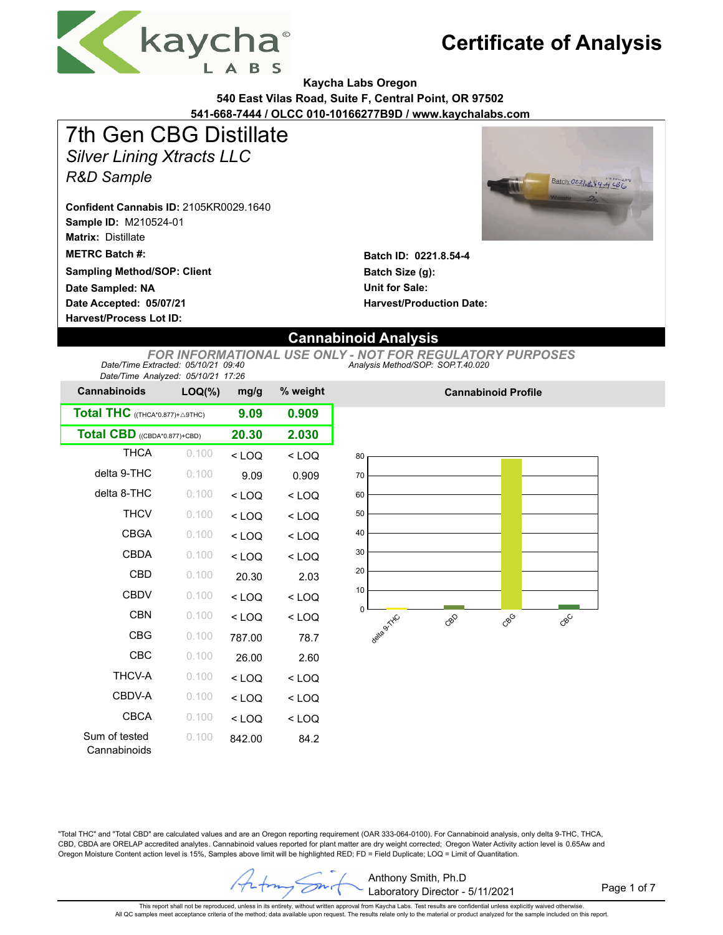

**Kaycha Labs Oregon**

**540 East Vilas Road, Suite F, Central Point, OR 97502**

**541-668-7444 / OLCC 010-10166277B9D / www.kaychalabs.com**

# 7th Gen CBG Distillate

*Silver Lining Xtracts LLC*

*R&D Sample*

**Sample ID:** M210524-01 **Confident Cannabis ID:** 2105KR0029.1640

**Matrix:** Distillate

**METRC Batch #:** 

**Sampling Method/SOP: Client**

**Date Accepted: 05/07/21 Date Sampled: NA**

**Harvest/Process Lot ID:** 



**Batch ID: 0221.8.54-4 Batch Size (g): Unit for Sale: Harvest/Production Date:** 

### **Cannabinoid Analysis**

*Analysis Method/SOP: SOP.T.40.020 FOR INFORMATIONAL USE ONLY - NOT FOR REGULATORY PURPOSES Date/Time Extracted: 05/10/21 09:40 Date/Time Analyzed: 05/10/21 17:26*

| Date/Thrie Analyzed. 00/10/21 11.20 |           |         |          |
|-------------------------------------|-----------|---------|----------|
| <b>Cannabinoids</b>                 | $LOQ(\%)$ | mg/g    | % weight |
| Total THC ((THCA*0.877)+ A9THC)     |           | 9.09    | 0.909    |
| Total CBD ((CBDA*0.877)+CBD)        |           | 20.30   | 2.030    |
| <b>THCA</b>                         | 0.100     | $<$ LOQ | $<$ LOQ  |
| delta 9-THC                         | 0.100     | 9.09    | 0.909    |
| delta 8-THC                         | 0.100     | $<$ LOQ | $<$ LOQ  |
| <b>THCV</b>                         | 0.100     | $<$ LOQ | $<$ LOQ  |
| <b>CBGA</b>                         | 0.100     | $<$ LOQ | $<$ LOQ  |
| CBDA                                | 0.100     | $<$ LOQ | $<$ LOQ  |
| CBD                                 | 0.100     | 20.30   | 2.03     |
| <b>CBDV</b>                         | 0.100     | $<$ LOQ | $<$ LOQ  |
| <b>CBN</b>                          | 0.100     | $<$ LOO | $<$ LOO  |
| <b>CBG</b>                          | 0.100     | 787.00  | 78.7     |
| CBC                                 | 0.100     | 26.00   | 2.60     |
| <b>THCV-A</b>                       | 0.100     | $<$ LOQ | $<$ LOQ  |
| CBDV-A                              | 0.100     | $<$ LOQ | $<$ LOQ  |
| CBCA                                | 0.100     | $<$ LOQ | $<$ LOQ  |
| Sum of tested<br>Cannabinoids       | 0.100     | 842.00  | 84.2     |



**Cannabinoid Profile**

"Total THC" and "Total CBD" are calculated values and are an Oregon reporting requirement (OAR 333-064-0100). For Cannabinoid analysis, only delta 9-THC, THCA, CBD, CBDA are ORELAP accredited analytes. Cannabinoid values reported for plant matter are dry weight corrected; Oregon Water Activity action level is 0.65Aw and Oregon Moisture Content action level is 15%, Samples above limit will be highlighted RED; FD = Field Duplicate; LOQ = Limit of Quantitation.

Anthony Smith, Ph.D Z Laboratory Director - 5/11/2021

Page 1 of 7

This report shall not be reproduced, unless in its entirety, without written approval from Kaycha Labs. Test results are confidential unless explicitly waived otherwise.<br>All QC samples meet acceptance criteria of the metho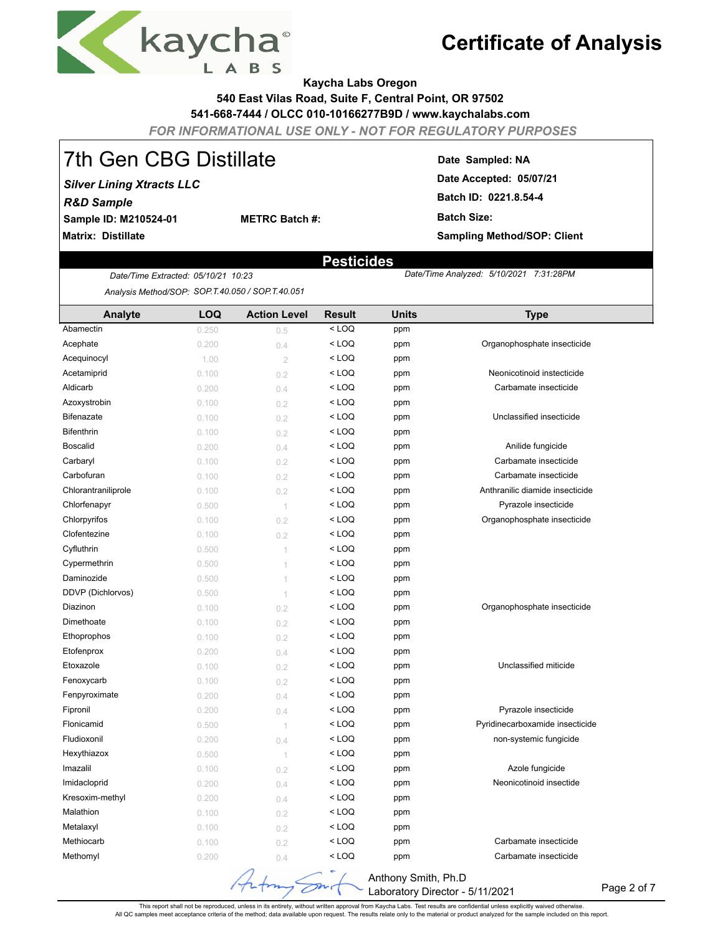

**Kaycha Labs Oregon**

**540 East Vilas Road, Suite F, Central Point, OR 97502**

**541-668-7444 / OLCC 010-10166277B9D / www.kaychalabs.com**

*FOR INFORMATIONAL USE ONLY - NOT FOR REGULATORY PURPOSES*

## 7th Gen CBG Distillate

**Sample ID: M210524-01** *Silver Lining Xtracts LLC R&D Sample*

**Matrix: Distillate**

**Date Sampled: NA**

 *5/10/2021 7:31:28PM*

**Date Accepted: 05/07/21 Batch ID: 0221.8.54-4**

**Batch Size:** 

**Sampling Method/SOP: Client**

### **Pesticides**

**METRC Batch #:** 

*Date/Time Extracted Date/Time Analyzed: : 05/10/21 10:23 Analysis Method/SOP: SOP.T.40.050 / SOP.T.40.051*

| Analyte             | LOQ   | <b>Action Level</b> | <b>Result</b> | <b>Units</b> | <b>Type</b>                     |
|---------------------|-------|---------------------|---------------|--------------|---------------------------------|
| Abamectin           | 0.250 | 0.5                 | $<$ LOQ       | ppm          |                                 |
| Acephate            | 0.200 | 0.4                 | $<$ LOQ       | ppm          | Organophosphate insecticide     |
| Acequinocyl         | 1.00  | $\overline{2}$      | $<$ LOQ       | ppm          |                                 |
| Acetamiprid         | 0.100 | 0.2                 | $<$ LOQ       | ppm          | Neonicotinoid instecticide      |
| Aldicarb            | 0.200 | 0.4                 | $<$ LOQ       | ppm          | Carbamate insecticide           |
| Azoxystrobin        | 0.100 | 0.2                 | $<$ LOQ       | ppm          |                                 |
| Bifenazate          | 0.100 | 0.2                 | $<$ LOQ       | ppm          | Unclassified insecticide        |
| <b>Bifenthrin</b>   | 0.100 | 0.2                 | < LOQ         | ppm          |                                 |
| <b>Boscalid</b>     | 0.200 | 0.4                 | $<$ LOQ       | ppm          | Anilide fungicide               |
| Carbaryl            | 0.100 | 0.2                 | $<$ LOQ       | ppm          | Carbamate insecticide           |
| Carbofuran          | 0.100 | 0.2                 | $<$ LOQ       | ppm          | Carbamate insecticide           |
| Chlorantraniliprole | 0.100 | 0.2                 | $<$ LOQ       | ppm          | Anthranilic diamide insecticide |
| Chlorfenapyr        | 0.500 | $\lceil$            | $<$ LOQ       | ppm          | Pyrazole insecticide            |
| Chlorpyrifos        | 0.100 | 0.2                 | < LOQ         | ppm          | Organophosphate insecticide     |
| Clofentezine        | 0.100 | 0.2                 | $<$ LOQ       | ppm          |                                 |
| Cyfluthrin          | 0.500 | 1                   | $<$ LOQ       | ppm          |                                 |
| Cypermethrin        | 0.500 | 1                   | $<$ LOQ       | ppm          |                                 |
| Daminozide          | 0.500 | $\overline{1}$      | $<$ LOQ       | ppm          |                                 |
| DDVP (Dichlorvos)   | 0.500 | 1                   | $<$ LOQ       | ppm          |                                 |
| Diazinon            | 0.100 | 0.2                 | $<$ LOQ       | ppm          | Organophosphate insecticide     |
| Dimethoate          | 0.100 | 0.2                 | $<$ LOQ       | ppm          |                                 |
| Ethoprophos         | 0.100 | 0.2                 | $<$ LOQ       | ppm          |                                 |
| Etofenprox          | 0.200 | 0.4                 | $<$ LOQ       | ppm          |                                 |
| Etoxazole           | 0.100 | 0.2                 | $<$ LOQ       | ppm          | Unclassified miticide           |
| Fenoxycarb          | 0.100 | 0.2                 | $<$ LOQ       | ppm          |                                 |
| Fenpyroximate       | 0.200 | 0.4                 | $<$ LOQ       | ppm          |                                 |
| Fipronil            | 0.200 | 0.4                 | $<$ LOQ       | ppm          | Pyrazole insecticide            |
| Flonicamid          | 0.500 | 1                   | $<$ LOQ       | ppm          | Pyridinecarboxamide insecticide |
| Fludioxonil         | 0.200 | 0.4                 | $<$ LOQ       | ppm          | non-systemic fungicide          |
| Hexythiazox         | 0.500 | 1                   | $<$ LOQ       | ppm          |                                 |
| Imazalil            | 0.100 | 0.2                 | $<$ LOQ       | ppm          | Azole fungicide                 |
| Imidacloprid        | 0.200 | 0.4                 | $<$ LOQ       | ppm          | Neonicotinoid insectide         |
| Kresoxim-methyl     | 0.200 | 0.4                 | $<$ LOQ       | ppm          |                                 |
| Malathion           | 0.100 | 0.2                 | $<$ LOQ       | ppm          |                                 |
| Metalaxyl           | 0.100 | 0.2                 | $<$ LOQ       | ppm          |                                 |
| Methiocarb          | 0.100 | 0.2                 | $<$ LOQ       | ppm          | Carbamate insecticide           |
| Methomyl            | 0.200 | 0.4                 | $<$ LOQ       | ppm          | Carbamate insecticide           |

Anthony Smith, Ph.D  $\overline{\mathscr{O}}^n$ Laboratory Director - 5/11/2021

Page 2 of 7

This report shall not be reproduced, unless in its entirety, without written approval from Kaycha Labs. Test results are confidential unless explicitly waived otherwise.<br>All QC samples meet acceptance criteria of the metho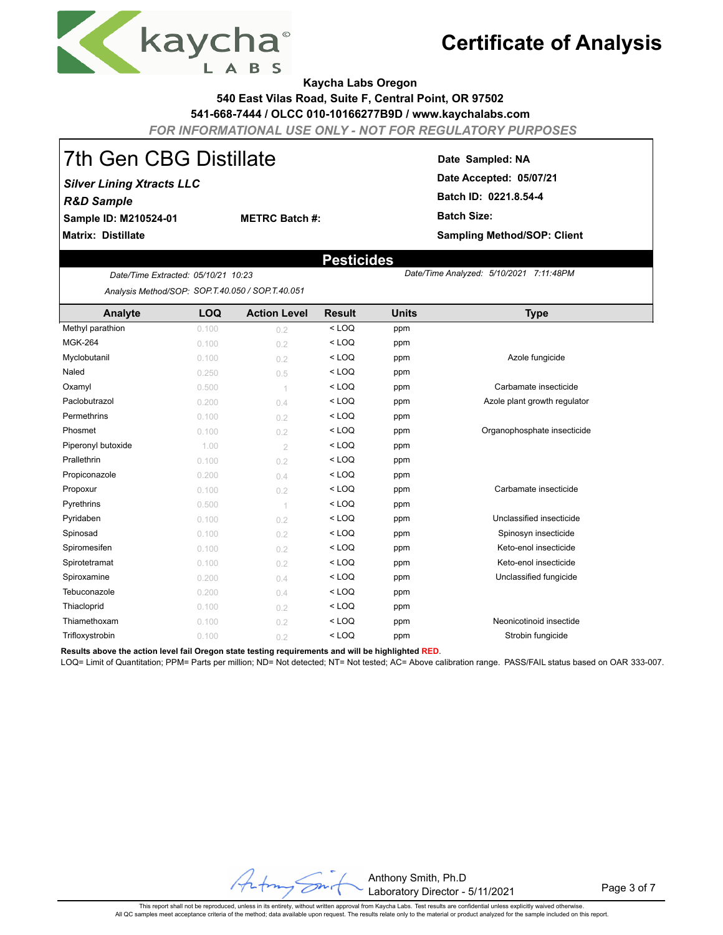

**Kaycha Labs Oregon**

**540 East Vilas Road, Suite F, Central Point, OR 97502**

**541-668-7444 / OLCC 010-10166277B9D / www.kaychalabs.com**

*FOR INFORMATIONAL USE ONLY - NOT FOR REGULATORY PURPOSES*

 **Pesticides**

## 7th Gen CBG Distillate

**Sample ID: M210524-01** *Silver Lining Xtracts LLC R&D Sample*

**METRC Batch #:** 

**Matrix: Distillate**

### **Date Sampled: NA**

 *5/10/2021 7:11:48PM*

**Date Accepted: 05/07/21 Batch ID: 0221.8.54-4 Batch Size: Sampling Method/SOP: Client**

*Date/Time Extracted Date/Time Analyzed: : 05/10/21 10:23 Analysis Method/SOP: SOP.T.40.050 / SOP.T.40.051*

| Analyte            | <b>LOQ</b> | <b>Action Level</b> | <b>Result</b> | <b>Units</b> | <b>Type</b>                  |
|--------------------|------------|---------------------|---------------|--------------|------------------------------|
| Methyl parathion   | 0.100      | 0.2                 | $<$ LOQ       | ppm          |                              |
| <b>MGK-264</b>     | 0.100      | 0.2                 | $<$ LOQ       | ppm          |                              |
| Myclobutanil       | 0.100      | 0.2                 | $<$ LOQ       | ppm          | Azole fungicide              |
| Naled              | 0.250      | 0.5                 | $<$ LOQ       | ppm          |                              |
| Oxamyl             | 0.500      | 1                   | $<$ LOQ       | ppm          | Carbamate insecticide        |
| Paclobutrazol      | 0.200      | 0.4                 | $<$ LOQ       | ppm          | Azole plant growth regulator |
| Permethrins        | 0.100      | 0.2                 | $<$ LOQ       | ppm          |                              |
| Phosmet            | 0.100      | 0.2                 | $<$ LOQ       | ppm          | Organophosphate insecticide  |
| Piperonyl butoxide | 1.00       | $\overline{2}$      | $<$ LOQ       | ppm          |                              |
| Prallethrin        | 0.100      | 0.2                 | $<$ LOQ       | ppm          |                              |
| Propiconazole      | 0.200      | 0.4                 | $<$ LOQ       | ppm          |                              |
| Propoxur           | 0.100      | 0.2                 | $<$ LOQ       | ppm          | Carbamate insecticide        |
| Pyrethrins         | 0.500      |                     | $<$ LOQ       | ppm          |                              |
| Pyridaben          | 0.100      | 0.2                 | $<$ LOQ       | ppm          | Unclassified insecticide     |
| Spinosad           | 0.100      | 0.2                 | $<$ LOQ       | ppm          | Spinosyn insecticide         |
| Spiromesifen       | 0.100      | 0.2                 | $<$ LOQ       | ppm          | Keto-enol insecticide        |
| Spirotetramat      | 0.100      | 0.2                 | $<$ LOQ       | ppm          | Keto-enol insecticide        |
| Spiroxamine        | 0.200      | 0.4                 | $<$ LOQ       | ppm          | Unclassified fungicide       |
| Tebuconazole       | 0.200      | 0.4                 | $<$ LOQ       | ppm          |                              |
| Thiacloprid        | 0.100      | 0.2                 | $<$ LOQ       | ppm          |                              |
| Thiamethoxam       | 0.100      | 0.2                 | $<$ LOQ       | ppm          | Neonicotinoid insectide      |
| Trifloxystrobin    | 0.100      | 0.2                 | $<$ LOQ       | ppm          | Strobin fungicide            |

**Results above the action level fail Oregon state testing requirements and will be highlighted RED**.

LOQ= Limit of Quantitation; PPM= Parts per million; ND= Not detected; NT= Not tested; AC= Above calibration range. PASS/FAIL status based on OAR 333-007.



Page 3 of 7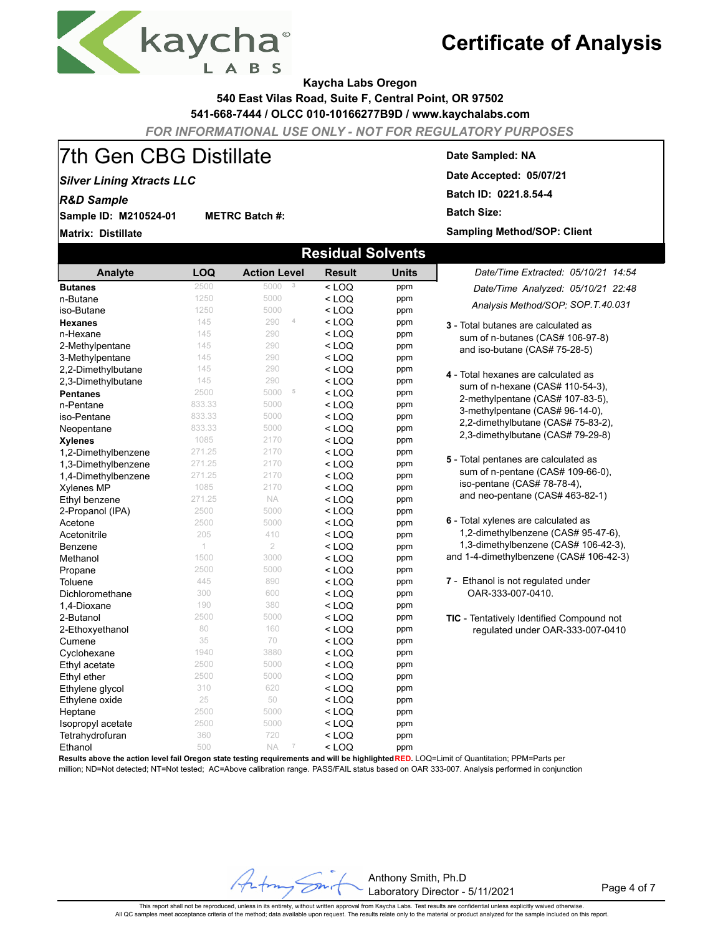

**Kaycha Labs Oregon**

**540 East Vilas Road, Suite F, Central Point, OR 97502**

**541-668-7444 / OLCC 010-10166277B9D / www.kaychalabs.com**

*FOR INFORMATIONAL USE ONLY - NOT FOR REGULATORY PURPOSES*

# 7th Gen CBG Distillate

**METRC Batch #:** 

### *Silver Lining Xtracts LLC*

*R&D Sample*

**Sample ID: M210524-01**

**Matrix: Distillate**

#### **Date Sampled: NA**

**Date Accepted: 05/07/21**

**Batch ID: 0221.8.54-4**

**Batch Size:** 

**Sampling Method/SOP: Client**

| <b>Residual Solvents</b> |            |                                       |               |              |                                                  |  |  |  |  |  |
|--------------------------|------------|---------------------------------------|---------------|--------------|--------------------------------------------------|--|--|--|--|--|
| Analyte                  | <b>LOQ</b> | <b>Action Level</b>                   | <b>Result</b> | <b>Units</b> | Date/Time Extracted: 05/10/21 14:54              |  |  |  |  |  |
| <b>Butanes</b>           | 2500       | 5000<br>3                             | $<$ LOQ       | ppm          | Date/Time Analyzed: 05/10/21 22:48               |  |  |  |  |  |
| n-Butane                 | 1250       | 5000                                  | $<$ LOQ       | ppm          |                                                  |  |  |  |  |  |
| iso-Butane               | 1250       | 5000                                  | $<$ LOQ       | ppm          | Analysis Method/SOP: SOP.T.40.031                |  |  |  |  |  |
| <b>Hexanes</b>           | 145        | 290<br>4                              | $<$ LOQ       | ppm          | 3 - Total butanes are calculated as              |  |  |  |  |  |
| n-Hexane                 | 145        | 290                                   | $<$ LOQ       | ppm          | sum of n-butanes (CAS# 106-97-8)                 |  |  |  |  |  |
| 2-Methylpentane          | 145        | 290                                   | $<$ LOQ       | ppm          | and iso-butane (CAS# 75-28-5)                    |  |  |  |  |  |
| 3-Methylpentane          | 145        | 290                                   | $<$ LOQ       | ppm          |                                                  |  |  |  |  |  |
| 2,2-Dimethylbutane       | 145        | 290                                   | $<$ LOQ       | ppm          | 4 - Total hexanes are calculated as              |  |  |  |  |  |
| 2,3-Dimethylbutane       | 145        | 290                                   | $<$ LOQ       | ppm          | sum of n-hexane (CAS# 110-54-3),                 |  |  |  |  |  |
| <b>Pentanes</b>          | 2500       | 5000<br>5                             | $<$ LOQ       | ppm          | 2-methylpentane (CAS# 107-83-5),                 |  |  |  |  |  |
| n-Pentane                | 833.33     | 5000                                  | $<$ LOQ       | ppm          | 3-methylpentane (CAS# 96-14-0),                  |  |  |  |  |  |
| iso-Pentane              | 833.33     | 5000                                  | $<$ LOQ       | ppm          | 2,2-dimethylbutane (CAS# 75-83-2),               |  |  |  |  |  |
| Neopentane               | 833.33     | 5000                                  | $<$ LOQ       | ppm          | 2,3-dimethylbutane (CAS# 79-29-8)                |  |  |  |  |  |
| <b>Xylenes</b>           | 1085       | 2170                                  | $<$ LOQ       | ppm          |                                                  |  |  |  |  |  |
| 1,2-Dimethylbenzene      | 271.25     | 2170                                  | $<$ LOQ       | ppm          | 5 - Total pentanes are calculated as             |  |  |  |  |  |
| 1,3-Dimethylbenzene      | 271.25     | 2170                                  | $<$ LOQ       | ppm          |                                                  |  |  |  |  |  |
| 1,4-Dimethylbenzene      | 271.25     | 2170                                  | $<$ LOQ       | ppm          | sum of n-pentane (CAS# 109-66-0),                |  |  |  |  |  |
| <b>Xylenes MP</b>        | 1085       | 2170                                  | $<$ LOQ       | ppm          | iso-pentane (CAS# 78-78-4),                      |  |  |  |  |  |
| Ethyl benzene            | 271.25     | <b>NA</b>                             | $<$ LOQ       | ppm          | and neo-pentane (CAS# 463-82-1)                  |  |  |  |  |  |
| 2-Propanol (IPA)         | 2500       | 5000                                  | $<$ LOQ       | ppm          |                                                  |  |  |  |  |  |
| Acetone                  | 2500       | 5000                                  | $<$ LOQ       | ppm          | 6 - Total xylenes are calculated as              |  |  |  |  |  |
| Acetonitrile             | 205        | 410                                   | $<$ LOQ       | ppm          | 1,2-dimethylbenzene (CAS# 95-47-6),              |  |  |  |  |  |
| Benzene                  | 1          | $\overline{2}$                        | $<$ LOQ       | ppm          | 1,3-dimethylbenzene (CAS# 106-42-3),             |  |  |  |  |  |
| Methanol                 | 1500       | 3000                                  | $<$ LOQ       | ppm          | and 1-4-dimethylbenzene (CAS# 106-42-3)          |  |  |  |  |  |
| Propane                  | 2500       | 5000                                  | $<$ LOQ       | ppm          |                                                  |  |  |  |  |  |
| Toluene                  | 445        | 890                                   | $<$ LOQ       | ppm          | 7 - Ethanol is not regulated under               |  |  |  |  |  |
| Dichloromethane          | 300        | 600                                   | $<$ LOQ       | ppm          | OAR-333-007-0410.                                |  |  |  |  |  |
| 1,4-Dioxane              | 190        | 380                                   | $<$ LOQ       | ppm          |                                                  |  |  |  |  |  |
| 2-Butanol                | 2500       | 5000                                  | $<$ LOQ       | ppm          | <b>TIC</b> - Tentatively Identified Compound not |  |  |  |  |  |
| 2-Ethoxyethanol          | 80         | 160                                   | $<$ LOQ       | ppm          | regulated under OAR-333-007-0410                 |  |  |  |  |  |
| Cumene                   | 35         | 70                                    | $<$ LOQ       | ppm          |                                                  |  |  |  |  |  |
| Cyclohexane              | 1940       | 3880                                  | $<$ LOQ       | ppm          |                                                  |  |  |  |  |  |
| Ethyl acetate            | 2500       | 5000                                  | $<$ LOQ       | ppm          |                                                  |  |  |  |  |  |
| Ethyl ether              | 2500       | 5000                                  | $<$ LOQ       | ppm          |                                                  |  |  |  |  |  |
| Ethylene glycol          | 310        | 620                                   | $<$ LOQ       | ppm          |                                                  |  |  |  |  |  |
| Ethylene oxide           | 25         | 50                                    | $<$ LOQ       | ppm          |                                                  |  |  |  |  |  |
| Heptane                  | 2500       | 5000                                  | < LOQ         | ppm          |                                                  |  |  |  |  |  |
| Isopropyl acetate        | 2500       | 5000                                  | $<$ LOQ       | ppm          |                                                  |  |  |  |  |  |
| Tetrahydrofuran          | 360        | 720                                   | $<$ LOQ       | ppm          |                                                  |  |  |  |  |  |
| Ethanol                  | 500        | $\overline{\mathcal{I}}$<br><b>NA</b> | $<$ LOQ       | ppm          |                                                  |  |  |  |  |  |

**Results above the action level fail Oregon state testing requirements and will be highlighted RED.** LOQ=Limit of Quantitation; PPM=Parts per

 $\overline{\epsilon}$ 

million; ND=Not detected; NT=Not tested; AC=Above calibration range. PASS/FAIL status based on OAR 333-007. Analysis performed in conjunction

Anthony Smith, Ph.D Laboratory Director - 5/11/2021

Page 4 of 7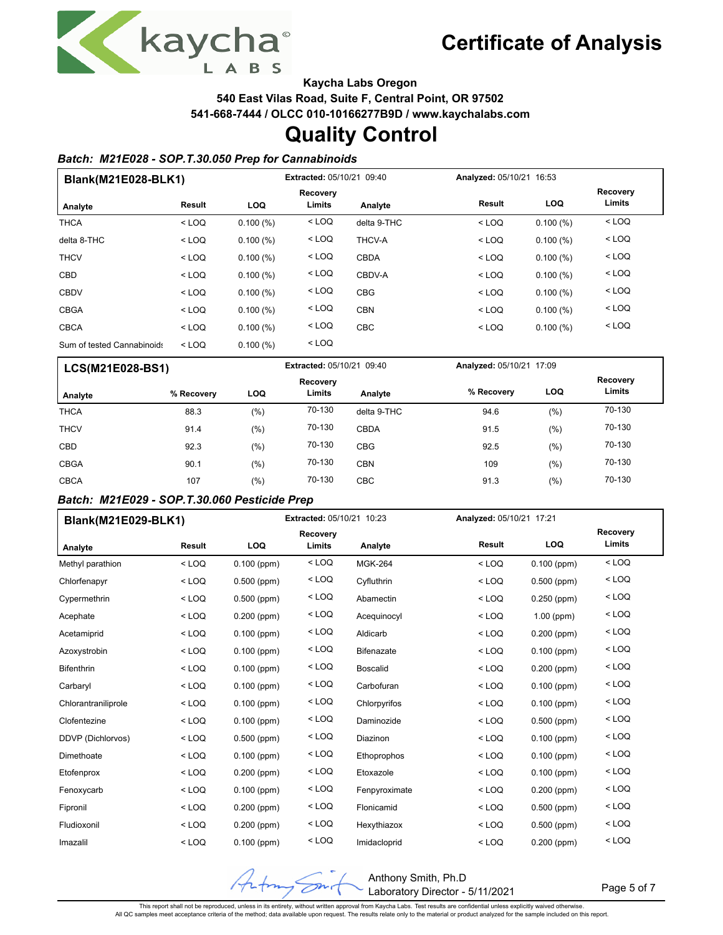

Page 5 of 7

**Kaycha Labs Oregon**

**540 East Vilas Road, Suite F, Central Point, OR 97502**

**541-668-7444 / OLCC 010-10166277B9D / www.kaychalabs.com**

### **Quality Control**

#### *Batch: M21E028 - SOP.T.30.050 Prep for Cannabinoids*

| Blank(M21E028-BLK1)        |         |            | Extracted: 05/10/21 09:40 |             | Analyzed: 05/10/21 16:53 |                                  |
|----------------------------|---------|------------|---------------------------|-------------|--------------------------|----------------------------------|
| Analyte                    | Result  | <b>LOQ</b> | Recovery<br>Limits        | Analyte     | Result                   | Recovery<br>Limits<br><b>LOQ</b> |
| <b>THCA</b>                | $<$ LOQ | 0.100(%)   | $<$ LOQ                   | delta 9-THC | $<$ LOQ                  | $<$ LOQ<br>0.100(%)              |
| delta 8-THC                | $<$ LOQ | 0.100(%)   | $<$ LOQ                   | THCV-A      | $<$ LOQ                  | $<$ LOQ<br>0.100(%)              |
| <b>THCV</b>                | $<$ LOQ | 0.100(%)   | $<$ LOQ                   | <b>CBDA</b> | $<$ LOQ                  | $<$ LOQ<br>0.100(%)              |
| <b>CBD</b>                 | $<$ LOQ | 0.100(%)   | $<$ LOQ                   | CBDV-A      | $<$ LOQ                  | $<$ LOQ<br>0.100(%)              |
| <b>CBDV</b>                | $<$ LOQ | 0.100(%)   | $<$ LOQ                   | <b>CBG</b>  | $<$ LOQ                  | $<$ LOQ<br>0.100(%)              |
| <b>CBGA</b>                | $<$ LOQ | 0.100(%)   | $<$ LOQ                   | <b>CBN</b>  | $<$ LOQ                  | $<$ LOQ<br>0.100(%)              |
| <b>CBCA</b>                | $<$ LOQ | 0.100(%)   | $<$ LOQ                   | <b>CBC</b>  | $<$ LOQ                  | $<$ LOQ<br>0.100(%)              |
| Sum of tested Cannabinoids | $<$ LOQ | 0.100(%)   | $<$ LOQ                   |             |                          |                                  |

| LCS(M21E028-BS1) |            |      | <b>Extracted: 05/10/21 09:40</b> |             | Analyzed: 05/10/21 17:09 |            |                    |
|------------------|------------|------|----------------------------------|-------------|--------------------------|------------|--------------------|
| Analyte          | % Recovery | LOQ  | Recovery<br>Limits               | Analyte     | % Recovery               | <b>LOQ</b> | Recovery<br>Limits |
| <b>THCA</b>      | 88.3       | (%)  | 70-130                           | delta 9-THC | 94.6                     | (%)        | 70-130             |
| <b>THCV</b>      | 91.4       | (%)  | 70-130                           | <b>CBDA</b> | 91.5                     | (%)        | 70-130             |
| <b>CBD</b>       | 92.3       | (%)  | 70-130                           | <b>CBG</b>  | 92.5                     | (% )       | 70-130             |
| <b>CBGA</b>      | 90.1       | (%   | 70-130                           | <b>CBN</b>  | 109                      | (% )       | 70-130             |
| <b>CBCA</b>      | 107        | (% ) | 70-130                           | <b>CBC</b>  | 91.3                     | (% )       | 70-130             |

### *Batch: M21E029 - SOP.T.30.060 Pesticide Prep*

| Blank(M21E029-BLK1) |         |               | Extracted: 05/10/21 10:23 |                   |               | Analyzed: 05/10/21 17:21 |                           |  |
|---------------------|---------|---------------|---------------------------|-------------------|---------------|--------------------------|---------------------------|--|
| Analyte             | Result  | LOQ           | <b>Recovery</b><br>Limits | Analyte           | <b>Result</b> | LOQ                      | <b>Recovery</b><br>Limits |  |
| Methyl parathion    | $<$ LOQ | $0.100$ (ppm) | $<$ LOQ                   | <b>MGK-264</b>    | $<$ LOQ       | $0.100$ (ppm)            | $<$ LOQ                   |  |
| Chlorfenapyr        | $<$ LOQ | $0.500$ (ppm) | $<$ LOQ                   | Cyfluthrin        | $<$ LOQ       | $0.500$ (ppm)            | $<$ LOQ                   |  |
| Cypermethrin        | $<$ LOQ | $0.500$ (ppm) | $<$ LOQ                   | Abamectin         | $<$ LOQ       | $0.250$ (ppm)            | $<$ LOQ                   |  |
| Acephate            | $<$ LOQ | $0.200$ (ppm) | $<$ LOQ                   | Acequinocyl       | $<$ LOQ       | $1.00$ (ppm)             | $<$ LOQ                   |  |
| Acetamiprid         | $<$ LOQ | $0.100$ (ppm) | $<$ LOQ                   | Aldicarb          | $<$ LOQ       | $0.200$ (ppm)            | $<$ LOQ                   |  |
| Azoxystrobin        | $<$ LOQ | $0.100$ (ppm) | $<$ LOQ                   | <b>Bifenazate</b> | $<$ LOQ       | $0.100$ (ppm)            | $<$ LOQ                   |  |
| <b>Bifenthrin</b>   | $<$ LOQ | $0.100$ (ppm) | $<$ LOQ                   | <b>Boscalid</b>   | $<$ LOQ       | $0.200$ (ppm)            | $<$ LOQ                   |  |
| Carbaryl            | $<$ LOQ | $0.100$ (ppm) | $<$ LOQ                   | Carbofuran        | $<$ LOQ       | $0.100$ (ppm)            | $<$ LOQ                   |  |
| Chlorantraniliprole | $<$ LOQ | $0.100$ (ppm) | $<$ LOQ                   | Chlorpyrifos      | $<$ LOQ       | $0.100$ (ppm)            | $<$ LOQ                   |  |
| Clofentezine        | $<$ LOQ | $0.100$ (ppm) | $<$ LOQ                   | Daminozide        | $<$ LOQ       | $0.500$ (ppm)            | $<$ LOQ                   |  |
| DDVP (Dichlorvos)   | $<$ LOQ | $0.500$ (ppm) | $<$ LOQ                   | Diazinon          | $<$ LOQ       | $0.100$ (ppm)            | $<$ LOQ                   |  |
| Dimethoate          | $<$ LOQ | $0.100$ (ppm) | $<$ LOQ                   | Ethoprophos       | $<$ LOQ       | $0.100$ (ppm)            | $<$ LOQ                   |  |
| Etofenprox          | $<$ LOQ | $0.200$ (ppm) | $<$ LOQ                   | Etoxazole         | $<$ LOQ       | $0.100$ (ppm)            | $<$ LOQ                   |  |
| Fenoxycarb          | $<$ LOQ | $0.100$ (ppm) | $<$ LOQ                   | Fenpyroximate     | $<$ LOQ       | $0.200$ (ppm)            | $<$ LOQ                   |  |
| Fipronil            | $<$ LOQ | $0.200$ (ppm) | $<$ LOQ                   | Flonicamid        | $<$ LOQ       | $0.500$ (ppm)            | $<$ LOQ                   |  |
| Fludioxonil         | $<$ LOQ | $0.200$ (ppm) | $<$ LOQ                   | Hexythiazox       | $<$ LOQ       | $0.500$ (ppm)            | $<$ LOQ                   |  |
| Imazalil            | $<$ LOQ | $0.100$ (ppm) | $<$ LOQ                   | Imidacloprid      | $<$ LOQ       | $0.200$ (ppm)            | $<$ LOQ                   |  |

This report shall not be reproduced, unless in its entirety, without written approval from Kaycha Labs. Test results are confidential unless explicitly waived otherwise.<br>All QC samples meet acceptance criteria of the metho

 $\overline{\mathscr{D}}^{\mathsf{m}}$ 

Anthony Smith, Ph.D

Laboratory Director - 5/11/2021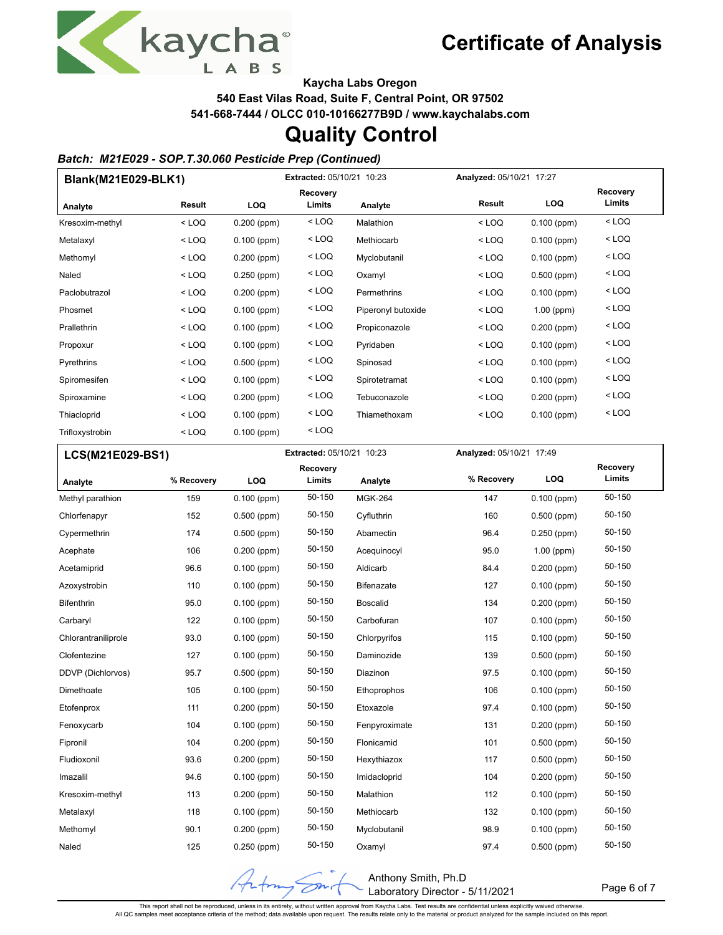

Page 6 of 7

**Kaycha Labs Oregon**

**540 East Vilas Road, Suite F, Central Point, OR 97502**

**541-668-7444 / OLCC 010-10166277B9D / www.kaychalabs.com**

### **Quality Control**

#### *Batch: M21E029 - SOP.T.30.060 Pesticide Prep (Continued)*

| Blank(M21E029-BLK1) |         |               | Extracted: 05/10/21 10:23 |                    |               | Analyzed: 05/10/21 17:27 |                           |  |
|---------------------|---------|---------------|---------------------------|--------------------|---------------|--------------------------|---------------------------|--|
|                     | Result  | LOQ           | <b>Recovery</b><br>Limits | Analyte            | <b>Result</b> | <b>LOQ</b>               | <b>Recovery</b><br>Limits |  |
| Analyte             |         |               | $<$ LOQ                   |                    |               |                          | $<$ LOQ                   |  |
| Kresoxim-methyl     | $<$ LOQ | $0.200$ (ppm) |                           | Malathion          | $<$ LOQ       | $0.100$ (ppm)            |                           |  |
| Metalaxyl           | $<$ LOQ | $0.100$ (ppm) | $<$ LOQ                   | Methiocarb         | $<$ LOQ       | $0.100$ (ppm)            | $<$ LOQ                   |  |
| Methomyl            | $<$ LOQ | $0.200$ (ppm) | $<$ LOQ                   | Myclobutanil       | $<$ LOQ       | $0.100$ (ppm)            | $<$ LOQ                   |  |
| Naled               | $<$ LOQ | $0.250$ (ppm) | $<$ LOQ                   | Oxamyl             | $<$ LOQ       | $0.500$ (ppm)            | $<$ LOQ                   |  |
| Paclobutrazol       | $<$ LOQ | $0.200$ (ppm) | $<$ LOQ                   | Permethrins        | $<$ LOQ       | $0.100$ (ppm)            | $<$ LOQ                   |  |
| Phosmet             | $<$ LOQ | $0.100$ (ppm) | $<$ LOQ                   | Piperonyl butoxide | $<$ LOQ       | $1.00$ (ppm)             | $<$ LOQ                   |  |
| Prallethrin         | $<$ LOQ | $0.100$ (ppm) | $<$ LOQ                   | Propiconazole      | $<$ LOQ       | $0.200$ (ppm)            | $<$ LOQ                   |  |
| Propoxur            | $<$ LOQ | $0.100$ (ppm) | $<$ LOQ                   | Pyridaben          | $<$ LOQ       | $0.100$ (ppm)            | $<$ LOQ                   |  |
| Pyrethrins          | $<$ LOQ | $0.500$ (ppm) | $<$ LOQ                   | Spinosad           | $<$ LOQ       | $0.100$ (ppm)            | $<$ LOQ                   |  |
| Spiromesifen        | $<$ LOQ | $0.100$ (ppm) | $<$ LOQ                   | Spirotetramat      | $<$ LOQ       | $0.100$ (ppm)            | $<$ LOQ                   |  |
| Spiroxamine         | $<$ LOQ | $0.200$ (ppm) | $<$ LOQ                   | Tebuconazole       | $<$ LOQ       | $0.200$ (ppm)            | $<$ LOQ                   |  |
| Thiacloprid         | $<$ LOQ | $0.100$ (ppm) | $<$ LOQ                   | Thiamethoxam       | $<$ LOQ       | $0.100$ (ppm)            | $<$ LOQ                   |  |
| Trifloxystrobin     | $<$ LOQ | $0.100$ (ppm) | $<$ LOQ                   |                    |               |                          |                           |  |

| LCS(M21E029-BS1)    |            | Extracted: 05/10/21 10:23 |                    |                   |            | Analyzed: 05/10/21 17:49 |                    |  |
|---------------------|------------|---------------------------|--------------------|-------------------|------------|--------------------------|--------------------|--|
| Analyte             | % Recovery | LOQ                       | Recovery<br>Limits | Analyte           | % Recovery | LOQ                      | Recovery<br>Limits |  |
| Methyl parathion    | 159        | $0.100$ (ppm)             | 50-150             | <b>MGK-264</b>    | 147        | $0.100$ (ppm)            | 50-150             |  |
| Chlorfenapyr        | 152        | $0.500$ (ppm)             | 50-150             | Cyfluthrin        | 160        | $0.500$ (ppm)            | 50-150             |  |
| Cypermethrin        | 174        | $0.500$ (ppm)             | 50-150             | Abamectin         | 96.4       | $0.250$ (ppm)            | 50-150             |  |
| Acephate            | 106        | $0.200$ (ppm)             | 50-150             | Acequinocyl       | 95.0       | $1.00$ (ppm)             | 50-150             |  |
| Acetamiprid         | 96.6       | $0.100$ (ppm)             | 50-150             | Aldicarb          | 84.4       | $0.200$ (ppm)            | 50-150             |  |
| Azoxystrobin        | 110        | $0.100$ (ppm)             | 50-150             | <b>Bifenazate</b> | 127        | $0.100$ (ppm)            | 50-150             |  |
| <b>Bifenthrin</b>   | 95.0       | $0.100$ (ppm)             | 50-150             | <b>Boscalid</b>   | 134        | $0.200$ (ppm)            | 50-150             |  |
| Carbaryl            | 122        | $0.100$ (ppm)             | 50-150             | Carbofuran        | 107        | $0.100$ (ppm)            | 50-150             |  |
| Chlorantraniliprole | 93.0       | $0.100$ (ppm)             | 50-150             | Chlorpyrifos      | 115        | $0.100$ (ppm)            | 50-150             |  |
| Clofentezine        | 127        | $0.100$ (ppm)             | 50-150             | Daminozide        | 139        | $0.500$ (ppm)            | 50-150             |  |
| DDVP (Dichlorvos)   | 95.7       | $0.500$ (ppm)             | 50-150             | Diazinon          | 97.5       | $0.100$ (ppm)            | 50-150             |  |
| Dimethoate          | 105        | $0.100$ (ppm)             | 50-150             | Ethoprophos       | 106        | $0.100$ (ppm)            | 50-150             |  |
| Etofenprox          | 111        | $0.200$ (ppm)             | 50-150             | Etoxazole         | 97.4       | $0.100$ (ppm)            | 50-150             |  |
| Fenoxycarb          | 104        | $0.100$ (ppm)             | 50-150             | Fenpyroximate     | 131        | $0.200$ (ppm)            | 50-150             |  |
| Fipronil            | 104        | $0.200$ (ppm)             | 50-150             | Flonicamid        | 101        | $0.500$ (ppm)            | 50-150             |  |
| Fludioxonil         | 93.6       | $0.200$ (ppm)             | 50-150             | Hexythiazox       | 117        | $0.500$ (ppm)            | 50-150             |  |
| Imazalil            | 94.6       | $0.100$ (ppm)             | 50-150             | Imidacloprid      | 104        | $0.200$ (ppm)            | 50-150             |  |
| Kresoxim-methyl     | 113        | $0.200$ (ppm)             | 50-150             | Malathion         | 112        | $0.100$ (ppm)            | 50-150             |  |
| Metalaxyl           | 118        | $0.100$ (ppm)             | 50-150             | Methiocarb        | 132        | $0.100$ (ppm)            | 50-150             |  |
| Methomyl            | 90.1       | $0.200$ (ppm)             | 50-150             | Myclobutanil      | 98.9       | $0.100$ (ppm)            | 50-150             |  |
| Naled               | 125        | 0.250 (ppm)               | 50-150             | Oxamyl            | 97.4       | 0.500 (ppm)              | 50-150             |  |

This report shall not be reproduced, unless in its entirety, without written approval from Kaycha Labs. Test results are confidential unless explicitly waived otherwise.<br>All QC samples meet acceptance criteria of the metho

 $\overline{\mathscr{D}}^{\mathsf{m}_1}$ 

Anthony Smith, Ph.D

Laboratory Director - 5/11/2021